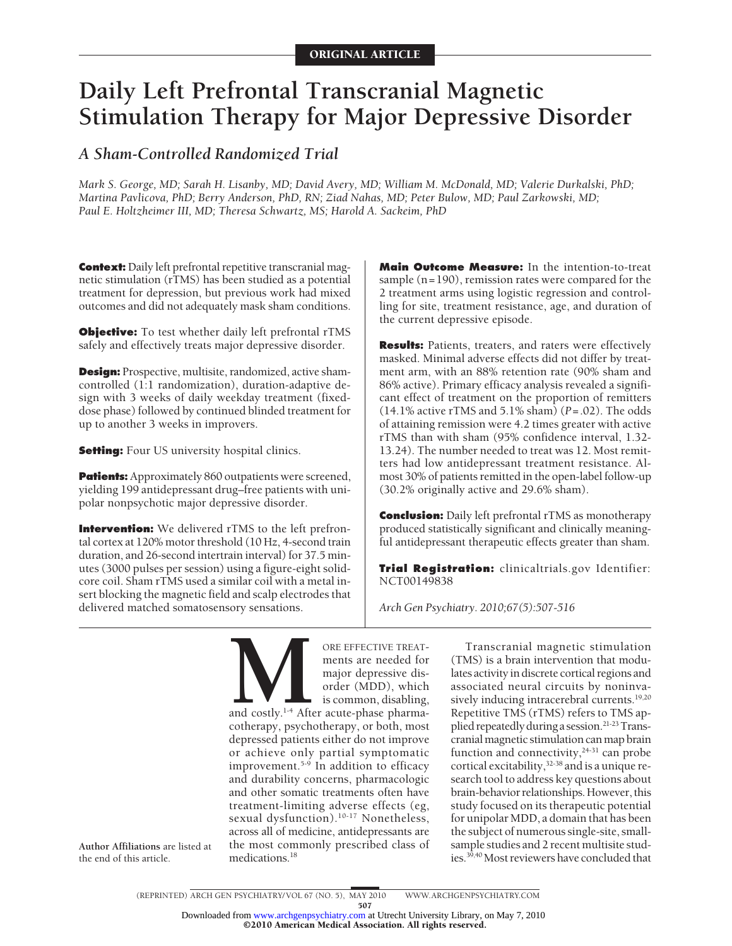# **Daily Left Prefrontal Transcranial Magnetic Stimulation Therapy for Major Depressive Disorder**

## *A Sham-Controlled Randomized Trial*

*Mark S. George, MD; Sarah H. Lisanby, MD; David Avery, MD; William M. McDonald, MD; Valerie Durkalski, PhD; Martina Pavlicova, PhD; Berry Anderson, PhD, RN; Ziad Nahas, MD; Peter Bulow, MD; Paul Zarkowski, MD; Paul E. Holtzheimer III, MD; Theresa Schwartz, MS; Harold A. Sackeim, PhD*

**Context:** Daily left prefrontal repetitive transcranial magnetic stimulation (rTMS) has been studied as a potential treatment for depression, but previous work had mixed outcomes and did not adequately mask sham conditions.

**Objective:** To test whether daily left prefrontal rTMS safely and effectively treats major depressive disorder.

**Design:** Prospective, multisite, randomized, active shamcontrolled (1:1 randomization), duration-adaptive design with 3 weeks of daily weekday treatment (fixeddose phase) followed by continued blinded treatment for up to another 3 weeks in improvers.

**Setting:** Four US university hospital clinics.

**Author Affiliations** are listed at the end of this article.

**Patients:** Approximately 860 outpatients were screened, yielding 199 antidepressant drug–free patients with unipolar nonpsychotic major depressive disorder.

**Intervention:** We delivered rTMS to the left prefrontal cortex at 120% motor threshold (10 Hz, 4-second train duration, and 26-second intertrain interval) for 37.5 minutes (3000 pulses per session) using a figure-eight solidcore coil. Sham rTMS used a similar coil with a metal insert blocking the magnetic field and scalp electrodes that delivered matched somatosensory sensations.

**Main Outcome Measure:** In the intention-to-treat sample (n=190), remission rates were compared for the 2 treatment arms using logistic regression and controlling for site, treatment resistance, age, and duration of the current depressive episode.

**Results:** Patients, treaters, and raters were effectively masked. Minimal adverse effects did not differ by treatment arm, with an 88% retention rate (90% sham and 86% active). Primary efficacy analysis revealed a significant effect of treatment on the proportion of remitters (14.1% active rTMS and 5.1% sham) (*P*=.02). The odds of attaining remission were 4.2 times greater with active rTMS than with sham (95% confidence interval, 1.32- 13.24). The number needed to treat was 12. Most remitters had low antidepressant treatment resistance. Almost 30% of patients remitted in the open-label follow-up (30.2% originally active and 29.6% sham).

**Conclusion:** Daily left prefrontal rTMS as monotherapy produced statistically significant and clinically meaningful antidepressant therapeutic effects greater than sham.

**Trial Registration:** clinicaltrials.gov Identifier: NCT00149838

*Arch Gen Psychiatry. 2010;67(5):507-516*

ORE EFFECTIVE TREAT-<br>ments are needed for<br>major depressive dis-<br>order (MDD), which<br>is common, disabling,<br>cotherapy. psychotherapy. or both. most ments are needed for major depressive disorder (MDD), which is common, disabling, and costly.<sup>1-4</sup> After acute-phase pharmacotherapy, psychotherapy, or both, most depressed patients either do not improve or achieve only partial symptomatic improvement.<sup>5-9</sup> In addition to efficacy and durability concerns, pharmacologic and other somatic treatments often have treatment-limiting adverse effects (eg, sexual dysfunction).<sup>10-17</sup> Nonetheless, across all of medicine, antidepressants are the most commonly prescribed class of medications.<sup>18</sup>

Transcranial magnetic stimulation (TMS) is a brain intervention that modulates activity in discrete cortical regions and associated neural circuits by noninvasively inducing intracerebral currents.<sup>19,20</sup> Repetitive TMS (rTMS) refers to TMS applied repeatedly during a session.<sup>21-23</sup> Transcranialmagnetic stimulation canmap brain function and connectivity,<sup>24-31</sup> can probe cortical excitability,  $32-38$  and is a unique research tool to address key questions about brain-behavior relationships. However, this study focused on its therapeutic potential for unipolar MDD, a domain that has been the subject of numerous single-site, smallsample studies and 2 recent multisite studies.<sup>39,40</sup> Most reviewers have concluded that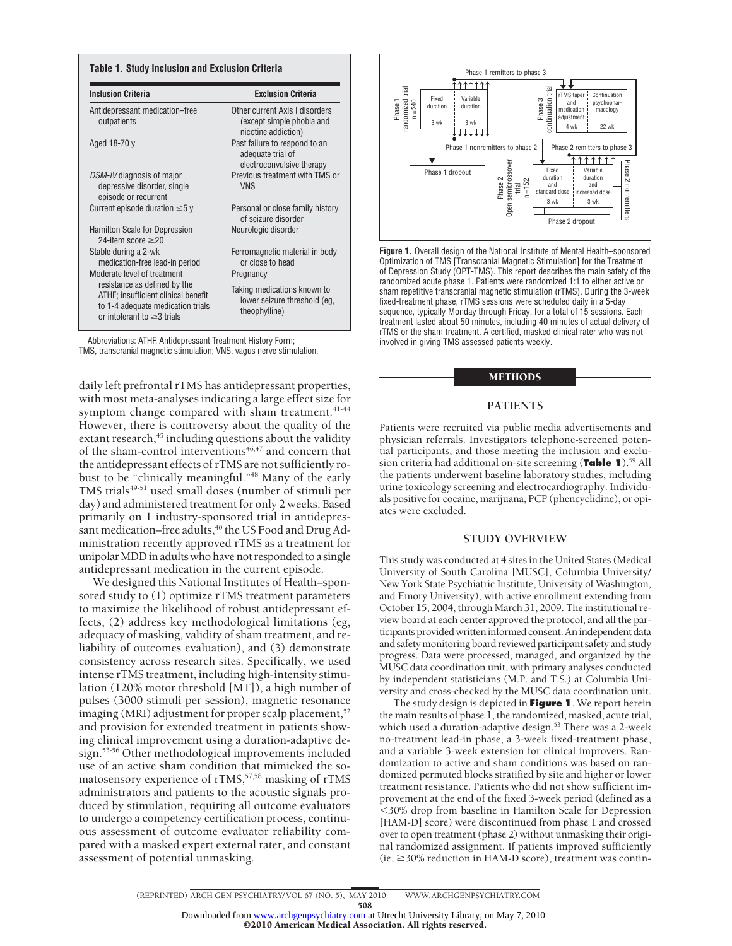| <b>Inclusion Criteria</b>                                                                                                                    | <b>Exclusion Criteria</b>                                                          |  |  |
|----------------------------------------------------------------------------------------------------------------------------------------------|------------------------------------------------------------------------------------|--|--|
| Antidepressant medication-free<br>outpatients                                                                                                | Other current Axis I disorders<br>(except simple phobia and<br>nicotine addiction) |  |  |
| Aged 18-70 y                                                                                                                                 | Past failure to respond to an<br>adequate trial of<br>electroconvulsive therapy    |  |  |
| <i>DSM-IV</i> diagnosis of major<br>depressive disorder, single<br>episode or recurrent                                                      | Previous treatment with TMS or<br><b>VNS</b>                                       |  |  |
| Current episode duration $\leq 5$ y                                                                                                          | Personal or close family history<br>of seizure disorder                            |  |  |
| <b>Hamilton Scale for Depression</b><br>24-item score $\geq$ 20                                                                              | Neurologic disorder                                                                |  |  |
| Stable during a 2-wk<br>medication-free lead-in period                                                                                       | Ferromagnetic material in body<br>or close to head                                 |  |  |
| Moderate level of treatment                                                                                                                  | Pregnancy                                                                          |  |  |
| resistance as defined by the<br>ATHF; insufficient clinical benefit<br>to 1-4 adequate medication trials<br>or intolerant to $\geq$ 3 trials | Taking medications known to<br>lower seizure threshold (eg,<br>theophylline)       |  |  |

Abbreviations: ATHF, Antidepressant Treatment History Form; TMS, transcranial magnetic stimulation; VNS, vagus nerve stimulation.

daily left prefrontal rTMS has antidepressant properties, with most meta-analyses indicating a large effect size for symptom change compared with sham treatment.<sup>41-44</sup> However, there is controversy about the quality of the extant research,<sup>45</sup> including questions about the validity of the sham-control interventions $46,47$  and concern that the antidepressant effects of rTMS are not sufficiently robust to be "clinically meaningful."48 Many of the early TMS trials<sup>49-51</sup> used small doses (number of stimuli per day) and administered treatment for only 2 weeks. Based primarily on 1 industry-sponsored trial in antidepressant medication–free adults,<sup>40</sup> the US Food and Drug Administration recently approved rTMS as a treatment for unipolar MDD in adults who have not responded to a single antidepressant medication in the current episode.

We designed this National Institutes of Health–sponsored study to (1) optimize rTMS treatment parameters to maximize the likelihood of robust antidepressant effects, (2) address key methodological limitations (eg, adequacy of masking, validity of sham treatment, and reliability of outcomes evaluation), and (3) demonstrate consistency across research sites. Specifically, we used intense rTMS treatment, including high-intensity stimulation (120% motor threshold [MT]), a high number of pulses (3000 stimuli per session), magnetic resonance imaging (MRI) adjustment for proper scalp placement, $52$ and provision for extended treatment in patients showing clinical improvement using a duration-adaptive design.53-56 Other methodological improvements included use of an active sham condition that mimicked the somatosensory experience of rTMS,<sup>57,58</sup> masking of rTMS administrators and patients to the acoustic signals produced by stimulation, requiring all outcome evaluators to undergo a competency certification process, continuous assessment of outcome evaluator reliability compared with a masked expert external rater, and constant assessment of potential unmasking.



**Figure 1.** Overall design of the National Institute of Mental Health–sponsored Optimization of TMS [Transcranial Magnetic Stimulation] for the Treatment of Depression Study (OPT-TMS). This report describes the main safety of the randomized acute phase 1. Patients were randomized 1:1 to either active or sham repetitive transcranial magnetic stimulation (rTMS). During the 3-week fixed-treatment phase, rTMS sessions were scheduled daily in a 5-day sequence, typically Monday through Friday, for a total of 15 sessions. Each treatment lasted about 50 minutes, including 40 minutes of actual delivery of rTMS or the sham treatment. A certified, masked clinical rater who was not involved in giving TMS assessed patients weekly.

#### METHODS

#### **PATIENTS**

Patients were recruited via public media advertisements and physician referrals. Investigators telephone-screened potential participants, and those meeting the inclusion and exclusion criteria had additional on-site screening (**Table 1**).59 All the patients underwent baseline laboratory studies, including urine toxicology screening and electrocardiography. Individuals positive for cocaine, marijuana, PCP (phencyclidine), or opiates were excluded.

## **STUDY OVERVIEW**

This study was conducted at 4 sites in the United States (Medical University of South Carolina [MUSC], Columbia University/ New York State Psychiatric Institute, University of Washington, and Emory University), with active enrollment extending from October 15, 2004, through March 31, 2009. The institutional review board at each center approved the protocol, and all the participants provided written informed consent. An independent data and safetymonitoring board reviewed participant safety and study progress. Data were processed, managed, and organized by the MUSC data coordination unit, with primary analyses conducted by independent statisticians (M.P. and T.S.) at Columbia University and cross-checked by the MUSC data coordination unit.

The study design is depicted in **Figure 1**. We report herein the main results of phase 1, the randomized, masked, acute trial, which used a duration-adaptive design.<sup>53</sup> There was a 2-week no-treatment lead-in phase, a 3-week fixed-treatment phase, and a variable 3-week extension for clinical improvers. Randomization to active and sham conditions was based on randomized permuted blocks stratified by site and higher or lower treatment resistance. Patients who did not show sufficient improvement at the end of the fixed 3-week period (defined as a -30% drop from baseline in Hamilton Scale for Depression [HAM-D] score) were discontinued from phase 1 and crossed over to open treatment (phase 2) without unmasking their original randomized assignment. If patients improved sufficiently  $(ie, \geq 30\% \text{ reduction in HAM-D score})$ , treatment was contin-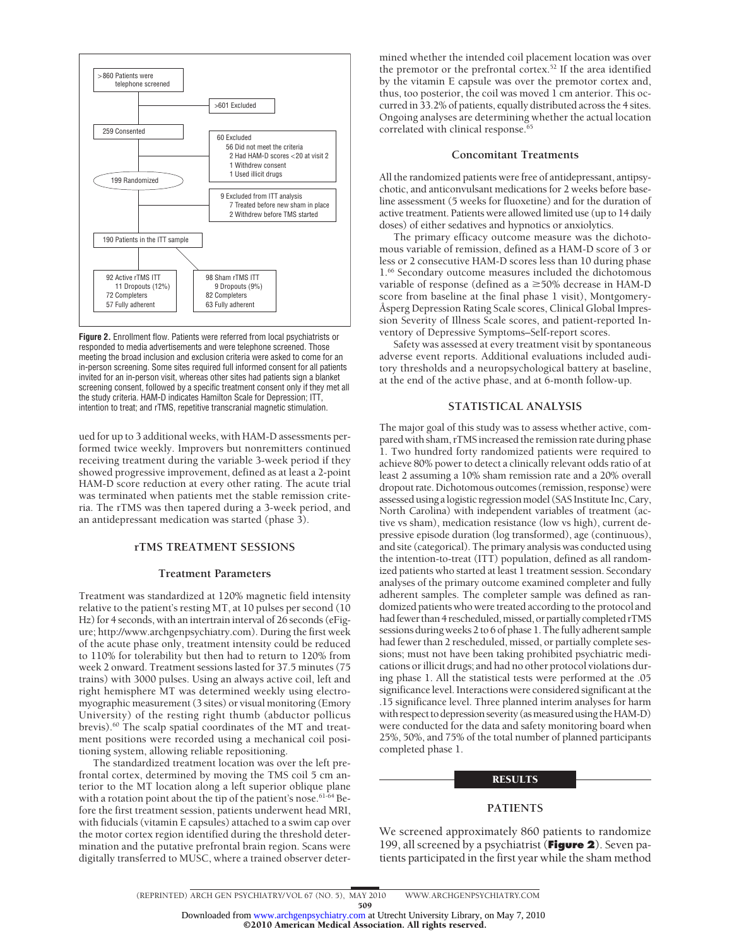

**Figure 2.** Enrollment flow. Patients were referred from local psychiatrists or responded to media advertisements and were telephone screened. Those meeting the broad inclusion and exclusion criteria were asked to come for an in-person screening. Some sites required full informed consent for all patients invited for an in-person visit, whereas other sites had patients sign a blanket screening consent, followed by a specific treatment consent only if they met all the study criteria. HAM-D indicates Hamilton Scale for Depression; ITT, intention to treat; and rTMS, repetitive transcranial magnetic stimulation.

ued for up to 3 additional weeks, with HAM-D assessments performed twice weekly. Improvers but nonremitters continued receiving treatment during the variable 3-week period if they showed progressive improvement, defined as at least a 2-point HAM-D score reduction at every other rating. The acute trial was terminated when patients met the stable remission criteria. The rTMS was then tapered during a 3-week period, and an antidepressant medication was started (phase 3).

## **rTMS TREATMENT SESSIONS**

#### **Treatment Parameters**

Treatment was standardized at 120% magnetic field intensity relative to the patient's resting MT, at 10 pulses per second (10 Hz) for 4 seconds, with an intertrain interval of 26 seconds (eFigure; http://www.archgenpsychiatry.com). During the first week of the acute phase only, treatment intensity could be reduced to 110% for tolerability but then had to return to 120% from week 2 onward. Treatment sessions lasted for 37.5 minutes (75 trains) with 3000 pulses. Using an always active coil, left and right hemisphere MT was determined weekly using electromyographic measurement (3 sites) or visual monitoring (Emory University) of the resting right thumb (abductor pollicus brevis).<sup>60</sup> The scalp spatial coordinates of the MT and treatment positions were recorded using a mechanical coil positioning system, allowing reliable repositioning.

The standardized treatment location was over the left prefrontal cortex, determined by moving the TMS coil 5 cm anterior to the MT location along a left superior oblique plane with a rotation point about the tip of the patient's nose.<sup>61-64</sup> Before the first treatment session, patients underwent head MRI, with fiducials (vitamin E capsules) attached to a swim cap over the motor cortex region identified during the threshold determination and the putative prefrontal brain region. Scans were digitally transferred to MUSC, where a trained observer deter-

mined whether the intended coil placement location was over the premotor or the prefrontal cortex.<sup>52</sup> If the area identified by the vitamin E capsule was over the premotor cortex and, thus, too posterior, the coil was moved 1 cm anterior. This occurred in 33.2% of patients, equally distributed across the 4 sites. Ongoing analyses are determining whether the actual location correlated with clinical response.<sup>65</sup>

#### **Concomitant Treatments**

All the randomized patients were free of antidepressant, antipsychotic, and anticonvulsant medications for 2 weeks before baseline assessment (5 weeks for fluoxetine) and for the duration of active treatment. Patients were allowed limited use (up to 14 daily doses) of either sedatives and hypnotics or anxiolytics.

The primary efficacy outcome measure was the dichotomous variable of remission, defined as a HAM-D score of 3 or less or 2 consecutive HAM-D scores less than 10 during phase 1.66 Secondary outcome measures included the dichotomous variable of response (defined as  $a \geq 50\%$  decrease in HAM-D score from baseline at the final phase 1 visit), Montgomery-Åsperg Depression Rating Scale scores, Clinical Global Impression Severity of Illness Scale scores, and patient-reported Inventory of Depressive Symptoms–Self-report scores.

Safety was assessed at every treatment visit by spontaneous adverse event reports. Additional evaluations included auditory thresholds and a neuropsychological battery at baseline, at the end of the active phase, and at 6-month follow-up.

## **STATISTICAL ANALYSIS**

The major goal of this study was to assess whether active, compared with sham, rTMSincreased the remission rate during phase 1. Two hundred forty randomized patients were required to achieve 80% power to detect a clinically relevant odds ratio of at least 2 assuming a 10% sham remission rate and a 20% overall dropout rate. Dichotomous outcomes (remission, response) were assessed using a logistic regression model (SAS Institute Inc, Cary, North Carolina) with independent variables of treatment (active vs sham), medication resistance (low vs high), current depressive episode duration (log transformed), age (continuous), and site (categorical). The primary analysis was conducted using the intention-to-treat (ITT) population, defined as all randomized patients who started at least 1 treatment session. Secondary analyses of the primary outcome examined completer and fully adherent samples. The completer sample was defined as randomized patients who were treated according to the protocol and had fewer than 4 rescheduled, missed, or partially completed rTMS sessions during weeks 2 to 6 of phase 1. The fully adherent sample had fewer than 2 rescheduled, missed, or partially complete sessions; must not have been taking prohibited psychiatric medications or illicit drugs; and had no other protocol violations during phase 1. All the statistical tests were performed at the .05 significance level. Interactions were considered significant at the .15 significance level. Three planned interim analyses for harm with respect to depression severity (as measured using the HAM-D) were conducted for the data and safety monitoring board when 25%, 50%, and 75% of the total number of planned participants completed phase 1.

#### **RESULTS**

## **PATIENTS**

We screened approximately 860 patients to randomize 199, all screened by a psychiatrist (**Figure 2**). Seven patients participated in the first year while the sham method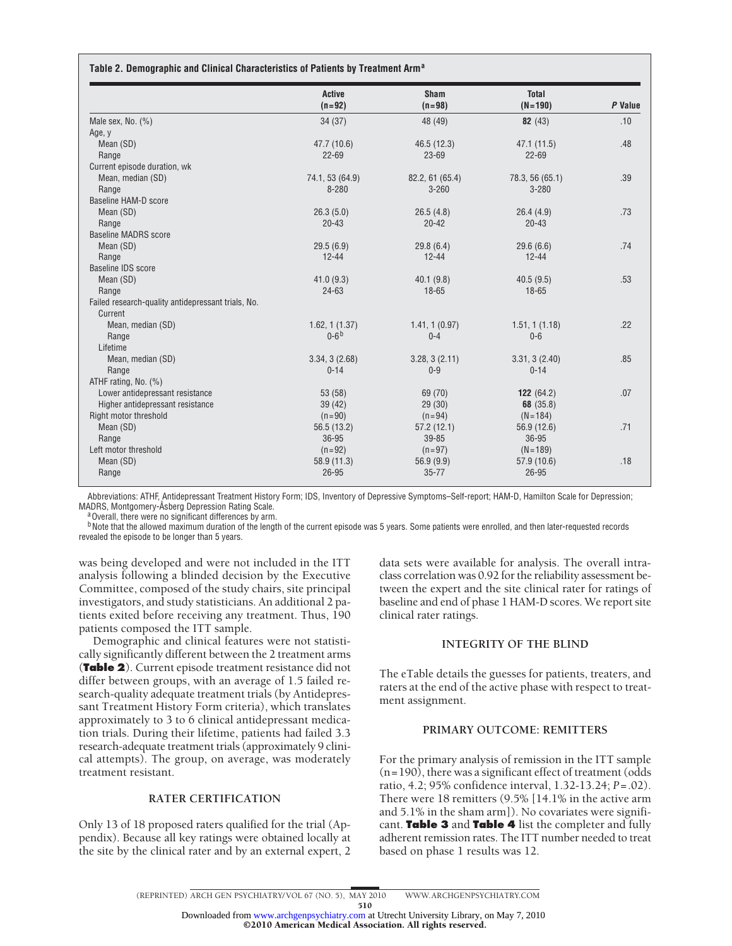|                                                    | Active<br>$(n=92)$ | <b>Sham</b><br>$(n=98)$ | <b>Total</b><br>$(N = 190)$ | P Value |
|----------------------------------------------------|--------------------|-------------------------|-----------------------------|---------|
| Male sex, No. $(\%)$                               | 34(37)             | 48 (49)                 | 82(43)                      | .10     |
| Age, y                                             |                    |                         |                             |         |
| Mean (SD)                                          | 47.7 (10.6)        | 46.5 (12.3)             | 47.1(11.5)                  | .48     |
| Range                                              | $22 - 69$          | $23 - 69$               | $22 - 69$                   |         |
| Current episode duration, wk                       |                    |                         |                             |         |
| Mean, median (SD)                                  | 74.1, 53 (64.9)    | 82.2, 61(65.4)          | 78.3, 56 (65.1)             | .39     |
| Range                                              | 8-280              | $3 - 260$               | $3 - 280$                   |         |
| Baseline HAM-D score                               |                    |                         |                             |         |
| Mean (SD)                                          | 26.3(5.0)          | 26.5(4.8)               | 26.4(4.9)                   | .73     |
| Range                                              | $20 - 43$          | $20 - 42$               | $20 - 43$                   |         |
| <b>Baseline MADRS score</b>                        |                    |                         |                             |         |
| Mean (SD)                                          | 29.5(6.9)          | 29.8(6.4)               | 29.6(6.6)                   | .74     |
| Range                                              | $12 - 44$          | $12 - 44$               | $12 - 44$                   |         |
| <b>Baseline IDS score</b>                          |                    |                         |                             |         |
| Mean (SD)                                          | 41.0(9.3)          | 40.1(9.8)               | 40.5(9.5)                   | .53     |
| Range                                              | 24-63              | $18 - 65$               | 18-65                       |         |
| Failed research-quality antidepressant trials, No. |                    |                         |                             |         |
| Current                                            |                    |                         |                             |         |
| Mean, median (SD)                                  | 1.62, 1(1.37)      | 1.41, 1(0.97)           | 1.51, 1(1.18)               | .22     |
| Range                                              | $0 - 6b$           | $0 - 4$                 | $0 - 6$                     |         |
| Lifetime                                           |                    |                         |                             |         |
| Mean, median (SD)                                  | 3.34, 3(2.68)      | 3.28, 3(2.11)           | 3.31, 3(2.40)               | .85     |
| Range                                              | $0 - 14$           | $0 - 9$                 | $0 - 14$                    |         |
| ATHF rating, No. (%)                               |                    |                         |                             |         |
| Lower antidepressant resistance                    | 53 (58)            | 69 (70)                 | 122 $(64.2)$                | .07     |
| Higher antidepressant resistance                   | 39(42)             | 29(30)                  | 68 (35.8)                   |         |
| Right motor threshold                              | $(n=90)$           | $(n=94)$                | $(N = 184)$                 |         |
| Mean (SD)                                          | 56.5(13.2)         | 57.2(12.1)              | 56.9 (12.6)                 | .71     |
| Range                                              | 36-95              | 39-85                   | 36-95                       |         |
| Left motor threshold                               | $(n=92)$           | $(n=97)$                | $(N = 189)$                 |         |
| Mean (SD)                                          | 58.9 (11.3)        | 56.9 (9.9)              | 57.9 (10.6)                 | .18     |
| Range                                              | 26-95              | $35 - 77$               | 26-95                       |         |

Abbreviations: ATHF, Antidepressant Treatment History Form; IDS, Inventory of Depressive Symptoms–Self-report; HAM-D, Hamilton Scale for Depression; MADRS, Montgomery-Åsberg Depression Rating Scale.<br><sup>a</sup>Overall, there were no significant differences by arm.

<sup>b</sup>Note that the allowed maximum duration of the length of the current episode was 5 years. Some patients were enrolled, and then later-requested records revealed the episode to be longer than 5 years.

was being developed and were not included in the ITT analysis following a blinded decision by the Executive Committee, composed of the study chairs, site principal investigators, and study statisticians. An additional 2 patients exited before receiving any treatment. Thus, 190 patients composed the ITT sample.

Demographic and clinical features were not statistically significantly different between the 2 treatment arms (**Table 2**). Current episode treatment resistance did not differ between groups, with an average of 1.5 failed research-quality adequate treatment trials (by Antidepressant Treatment History Form criteria), which translates approximately to 3 to 6 clinical antidepressant medication trials. During their lifetime, patients had failed 3.3 research-adequate treatment trials (approximately 9 clinical attempts). The group, on average, was moderately treatment resistant.

## **RATER CERTIFICATION**

Only 13 of 18 proposed raters qualified for the trial (Appendix). Because all key ratings were obtained locally at the site by the clinical rater and by an external expert, 2 data sets were available for analysis. The overall intraclass correlation was 0.92 for the reliability assessment between the expert and the site clinical rater for ratings of baseline and end of phase 1 HAM-D scores. We report site clinical rater ratings.

## **INTEGRITY OF THE BLIND**

The eTable details the guesses for patients, treaters, and raters at the end of the active phase with respect to treatment assignment.

## **PRIMARY OUTCOME: REMITTERS**

For the primary analysis of remission in the ITT sample  $(n=190)$ , there was a significant effect of treatment (odds) ratio, 4.2; 95% confidence interval, 1.32-13.24; *P*=.02). There were 18 remitters (9.5% [14.1% in the active arm and 5.1% in the sham arm]). No covariates were significant. **Table 3** and **Table 4** list the completer and fully adherent remission rates. The ITT number needed to treat based on phase 1 results was 12.

©2010 American Medical Association. All rights reserved. Downloaded from [www.archgenpsychiatry.com](http://www.archgenpsychiatry.com) at Utrecht University Library, on May 7, 2010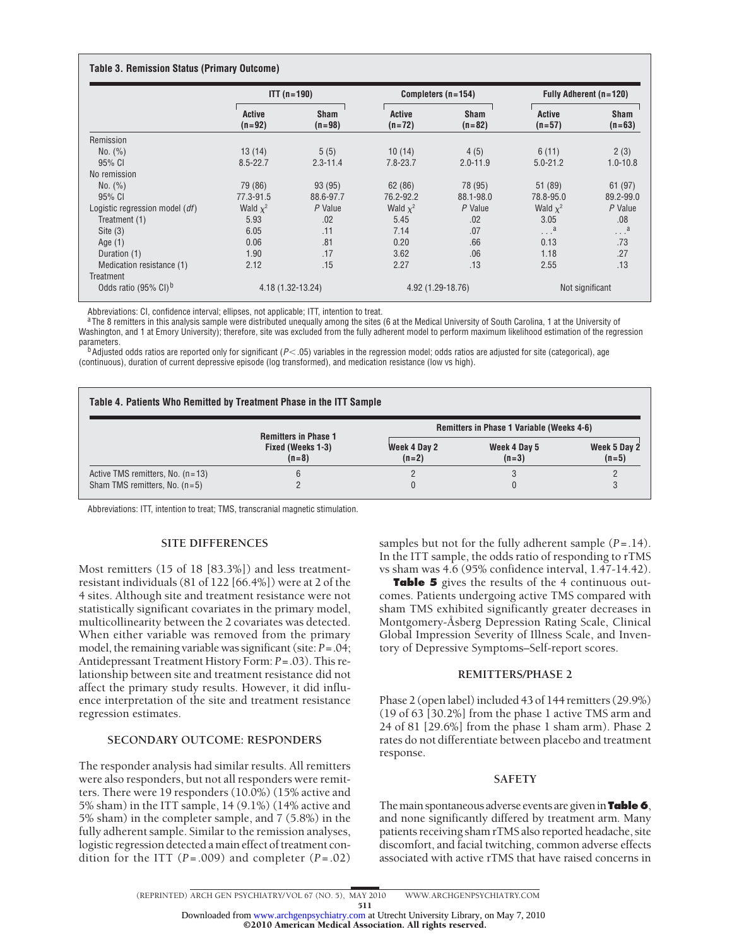|                                  | $ITT (n = 190)$    |                         | Completers $(n=154)$      |                         | Fully Adherent (n=120)    |                         |  |
|----------------------------------|--------------------|-------------------------|---------------------------|-------------------------|---------------------------|-------------------------|--|
|                                  | Active<br>$(n=92)$ | <b>Sham</b><br>$(n=98)$ | <b>Active</b><br>$(n=72)$ | <b>Sham</b><br>$(n=82)$ | <b>Active</b><br>$(n=57)$ | <b>Sham</b><br>$(n=63)$ |  |
| Remission                        |                    |                         |                           |                         |                           |                         |  |
| No. (%)                          | 13(14)             | 5(5)                    | 10(14)                    | 4(5)                    | 6(11)                     | 2(3)                    |  |
| 95% CI                           | $8.5 - 22.7$       | $2.3 - 11.4$            | $7.8 - 23.7$              | $2.0 - 11.9$            | $5.0 - 21.2$              | $1.0 - 10.8$            |  |
| No remission                     |                    |                         |                           |                         |                           |                         |  |
| No. (%)                          | 79 (86)            | 93 (95)                 | 62(86)                    | 78 (95)                 | 51 (89)                   | 61 (97)                 |  |
| 95% CI                           | 77.3-91.5          | 88.6-97.7               | 76.2-92.2                 | 88.1-98.0               | 78.8-95.0                 | 89.2-99.0               |  |
| Logistic regression model (df)   | Wald $x^2$         | P Value                 | Wald $x^2$                | P Value                 | Wald $x^2$                | P Value                 |  |
| Treatment (1)                    | 5.93               | .02                     | 5.45                      | .02                     | 3.05                      | .08                     |  |
| Site $(3)$                       | 6.05               | .11                     | 7.14                      | .07                     | $\ldots$ <sup>a</sup>     | $\ldots$ <sup>a</sup>   |  |
| Age $(1)$                        | 0.06               | .81                     | 0.20                      | .66                     | 0.13                      | .73                     |  |
| Duration (1)                     | 1.90               | .17                     | 3.62                      | .06                     | 1.18                      | .27                     |  |
| Medication resistance (1)        | 2.12               | .15                     | 2.27                      | .13                     | 2.55                      | .13                     |  |
| Treatment                        |                    |                         |                           |                         |                           |                         |  |
| Odds ratio (95% CI) <sup>b</sup> | 4.18 (1.32-13.24)  |                         |                           | 4.92 (1.29-18.76)       |                           | Not significant         |  |

Abbreviations: CI, confidence interval; ellipses, not applicable; ITT, intention to treat.

<sup>a</sup>The 8 remitters in this analysis sample were distributed unequally among the sites (6 at the Medical University of South Carolina, 1 at the University of Washington, and 1 at Emory University); therefore, site was excluded from the fully adherent model to perform maximum likelihood estimation of the regression<br>parameters.

parameters.<br><sup>b</sup>Adjusted odds ratios are reported only for significant (*P*<.05) variables in the regression model; odds ratios are adjusted for site (categorical), age (continuous), duration of current depressive episode (log transformed), and medication resistance (low vs high).

| Table 4. Patients Who Remitted by Treatment Phase in the ITT Sample |                              |                         |                                           |                         |  |  |
|---------------------------------------------------------------------|------------------------------|-------------------------|-------------------------------------------|-------------------------|--|--|
|                                                                     | <b>Remitters in Phase 1</b>  |                         | Remitters in Phase 1 Variable (Weeks 4-6) |                         |  |  |
|                                                                     | Fixed (Weeks 1-3)<br>$(n=8)$ | Week 4 Day 2<br>$(n=2)$ | Week 4 Day 5<br>$(n=3)$                   | Week 5 Day 2<br>$(n=5)$ |  |  |
| Active TMS remitters, No. $(n=13)$                                  | 6                            |                         |                                           |                         |  |  |
| Sham TMS remitters, No. $(n=5)$                                     |                              |                         |                                           |                         |  |  |

Abbreviations: ITT, intention to treat; TMS, transcranial magnetic stimulation.

## **SITE DIFFERENCES**

Most remitters (15 of 18 [83.3%]) and less treatmentresistant individuals (81 of 122 [66.4%]) were at 2 of the 4 sites. Although site and treatment resistance were not statistically significant covariates in the primary model, multicollinearity between the 2 covariates was detected. When either variable was removed from the primary model, the remaining variable was significant (site: *P*=.04; Antidepressant Treatment History Form: *P*=.03). This relationship between site and treatment resistance did not affect the primary study results. However, it did influence interpretation of the site and treatment resistance regression estimates.

## **SECONDARY OUTCOME: RESPONDERS**

The responder analysis had similar results. All remitters were also responders, but not all responders were remitters. There were 19 responders (10.0%) (15% active and 5% sham) in the ITT sample, 14 (9.1%) (14% active and 5% sham) in the completer sample, and 7 (5.8%) in the fully adherent sample. Similar to the remission analyses, logistic regression detected a main effect of treatment condition for the ITT (*P*=.009) and completer (*P*=.02) samples but not for the fully adherent sample (*P*=.14). In the ITT sample, the odds ratio of responding to rTMS vs sham was 4.6 (95% confidence interval, 1.47-14.42).

**Table 5** gives the results of the 4 continuous outcomes. Patients undergoing active TMS compared with sham TMS exhibited significantly greater decreases in Montgomery-Åsberg Depression Rating Scale, Clinical Global Impression Severity of Illness Scale, and Inventory of Depressive Symptoms–Self-report scores.

## **REMITTERS/PHASE 2**

Phase 2 (open label) included 43 of 144 remitters (29.9%) (19 of 63 [30.2%] from the phase 1 active TMS arm and 24 of 81 [29.6%] from the phase 1 sham arm). Phase 2 rates do not differentiate between placebo and treatment response.

## **SAFETY**

The main spontaneous adverse events are given in **Table 6**, and none significantly differed by treatment arm. Many patients receiving sham rTMS also reported headache, site discomfort, and facial twitching, common adverse effects associated with active rTMS that have raised concerns in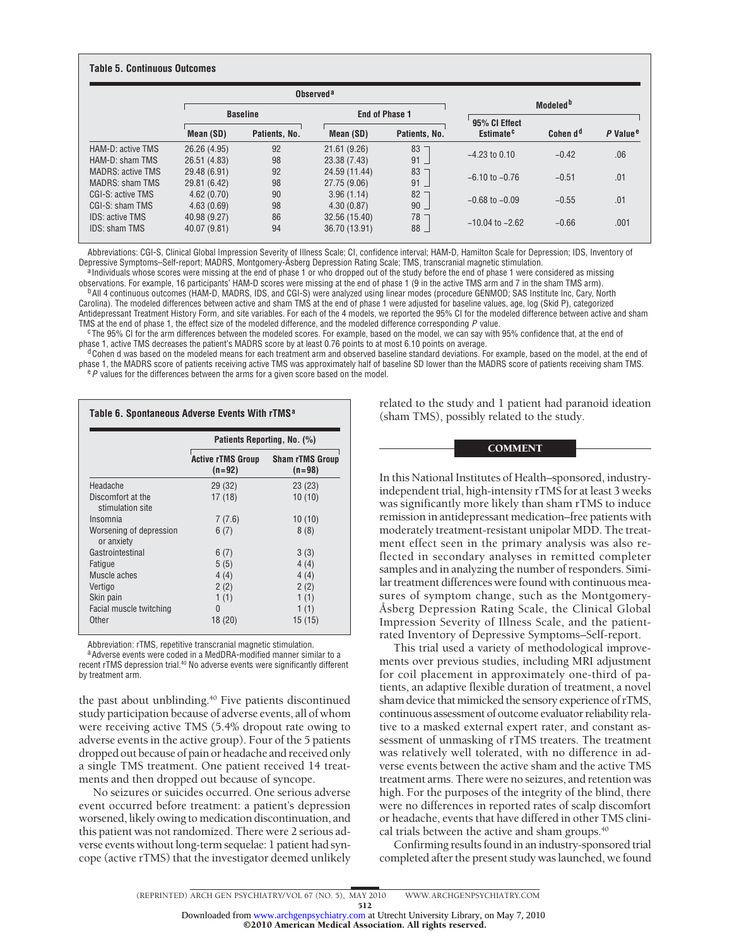### **Table 5. Continuous Outcomes**

|                        |              | Observed <sup>a</sup> |               |                       |                                        |                               |                      |  |
|------------------------|--------------|-----------------------|---------------|-----------------------|----------------------------------------|-------------------------------|----------------------|--|
|                        |              | <b>Baseline</b>       |               | <b>End of Phase 1</b> |                                        | Modeled <sup>b</sup>          |                      |  |
|                        | Mean (SD)    | Patients, No.         | Mean (SD)     | Patients, No.         | 95% CI Effect<br>Estimate <sup>c</sup> | Cohen d <sup>d</sup>          | P Value <sup>e</sup> |  |
| HAM-D: active TMS      | 26.26 (4.95) | 92                    | 21.61(9.26)   | 83                    | $-4.23$ to 0.10                        | $-0.42$                       | .06                  |  |
| HAM-D: sham TMS        | 26.51 (4.83) | 98                    | 23.38 (7.43)  | $91 -$                |                                        |                               |                      |  |
| MADRS: active TMS      | 29.48 (6.91) | 92                    | 24.59 (11.44) | 83                    |                                        | $-0.51$<br>$-6.10$ to $-0.76$ | .01                  |  |
| <b>MADRS: sham TMS</b> | 29.81 (6.42) | 98                    | 27.75 (9.06)  | 91                    |                                        |                               |                      |  |
| CGI-S: active TMS      | 4.62(0.70)   | 90                    | 3.96(1.14)    | 82                    | $-0.68$ to $-0.09$                     | $-0.55$                       | .01                  |  |
| CGI-S: sham TMS        | 4.63(0.69)   | 98                    | 4.30(0.87)    | $90 -$                |                                        |                               |                      |  |
| <b>IDS: active TMS</b> | 40.98 (9.27) | 86                    | 32.56 (15.40) | 78                    |                                        |                               |                      |  |
| <b>IDS: sham TMS</b>   | 40.07 (9.81) | 94                    | 36.70 (13.91) | $88 -$                | $-10.04$ to $-2.62$                    | $-0.66$                       | .001                 |  |

Abbreviations: CGI-S, Clinical Global Impression Severity of Illness Scale; CI, confidence interval; HAM-D, Hamilton Scale for Depression; IDS, Inventory of

<sup>a</sup> Individuals whose scores were missing at the end of phase 1 or who dropped out of the study before the end of phase 1 were considered as missing at the end of phase 1 (9 in the active TMS arm and 7 in the sham TMS arm) <sup>b</sup> All 4 continuous outcomes (HAM-D, MADRS, IDS, and CGI-S) were analyzed using linear modes (procedure GENMOD; SAS Institute Inc, Cary, North Carolina). The modeled differences between active and sham TMS at the end of phase 1 were adjusted for baseline values, age, log (Skid P), categorized

Antidepressant Treatment History Form, and site variables. For each of the 4 models, we reported the 95% CI for the modeled difference between active and sham

TMS at the end of phase 1, the effect size of the modeled difference, and the modeled difference corresponding P value.<br><sup>C</sup>The 95% CI for the arm differences between the modeled scores. For example, based on the model, we

<sup>d</sup> Cohen d was based on the modeled means for each treatment arm and observed baseline standard deviations. For example, based on the model, at the end of phase 1, the MADRS score of patients receiving active TMS was approximately half of baseline SD lower than the MADRS score of patients receiving sham TMS.<br><sup>e</sup> P values for the differences between the arms for a given scor

|                                       | Patients Reporting, No. (%)          |                                    |  |  |
|---------------------------------------|--------------------------------------|------------------------------------|--|--|
|                                       | <b>Active rTMS Group</b><br>$(n=92)$ | <b>Sham rTMS Group</b><br>$(n=98)$ |  |  |
| Headache                              | 29 (32)                              | 23(23)                             |  |  |
| Discomfort at the<br>stimulation site | 17 (18)                              | 10(10)                             |  |  |
| Insomnia                              | 7(7.6)                               | 10(10)                             |  |  |
| Worsening of depression<br>or anxiety | 6(7)                                 | 8(8)                               |  |  |
| Gastrointestinal                      | 6(7)                                 | 3(3)                               |  |  |
| Fatigue                               | 5(5)                                 | 4(4)                               |  |  |
| Muscle aches                          | 4(4)                                 | 4(4)                               |  |  |
| Vertigo                               | 2(2)                                 | 2(2)                               |  |  |
| Skin pain                             | 1(1)                                 | 1(1)                               |  |  |
| Facial muscle twitching               | $\theta$                             | 1(1)                               |  |  |
| <b>Other</b>                          | 18 (20)                              | 15 (15)                            |  |  |

Abbreviation: rTMS, repetitive transcranial magnetic stimulation.

a Adverse events were coded in a MedDRA-modified manner similar to a recent rTMS depression trial.<sup>40</sup> No adverse events were significantly different by treatment arm.

the past about unblinding.<sup>40</sup> Five patients discontinued study participation because of adverse events, all of whom were receiving active TMS (5.4% dropout rate owing to adverse events in the active group). Four of the 5 patients dropped out because of pain or headache and received only a single TMS treatment. One patient received 14 treatments and then dropped out because of syncope.

No seizures or suicides occurred. One serious adverse event occurred before treatment: a patient's depression worsened, likely owing to medication discontinuation, and this patient was not randomized. There were 2 serious adverse events without long-term sequelae: 1 patient had syncope (active rTMS) that the investigator deemed unlikely related to the study and 1 patient had paranoid ideation (sham TMS), possibly related to the study.

## **COMMENT**

In this National Institutes of Health–sponsored, industryindependent trial, high-intensity rTMS for at least 3 weeks was significantly more likely than sham rTMS to induce remission in antidepressant medication–free patients with moderately treatment-resistant unipolar MDD. The treatment effect seen in the primary analysis was also reflected in secondary analyses in remitted completer samples and in analyzing the number of responders. Similar treatment differences were found with continuous measures of symptom change, such as the Montgomery-Åsberg Depression Rating Scale, the Clinical Global Impression Severity of Illness Scale, and the patientrated Inventory of Depressive Symptoms–Self-report.

This trial used a variety of methodological improvements over previous studies, including MRI adjustment for coil placement in approximately one-third of patients, an adaptive flexible duration of treatment, a novel sham device that mimicked the sensory experience of rTMS, continuous assessment of outcome evaluator reliability relative to a masked external expert rater, and constant assessment of unmasking of rTMS treaters. The treatment was relatively well tolerated, with no difference in adverse events between the active sham and the active TMS treatment arms. There were no seizures, and retention was high. For the purposes of the integrity of the blind, there were no differences in reported rates of scalp discomfort or headache, events that have differed in other TMS clinical trials between the active and sham groups. $40$ 

Confirming results found in an industry-sponsored trial completed after the present study was launched, we found

©2010 American Medical Association. All rights reserved.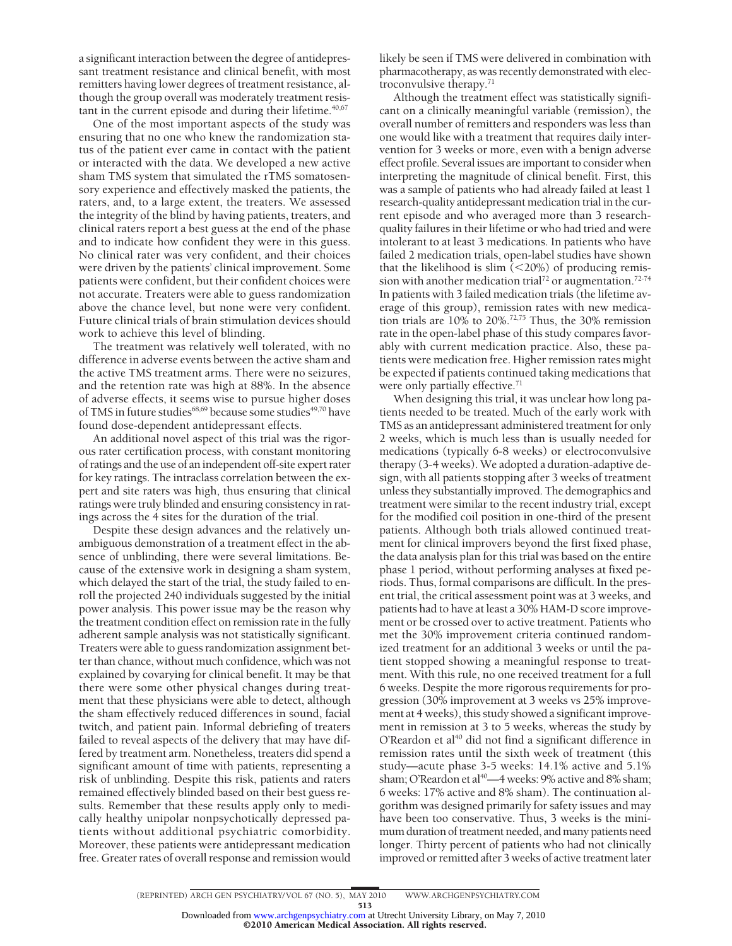a significant interaction between the degree of antidepressant treatment resistance and clinical benefit, with most remitters having lower degrees of treatment resistance, although the group overall was moderately treatment resistant in the current episode and during their lifetime.<sup>40,67</sup>

One of the most important aspects of the study was ensuring that no one who knew the randomization status of the patient ever came in contact with the patient or interacted with the data. We developed a new active sham TMS system that simulated the rTMS somatosensory experience and effectively masked the patients, the raters, and, to a large extent, the treaters. We assessed the integrity of the blind by having patients, treaters, and clinical raters report a best guess at the end of the phase and to indicate how confident they were in this guess. No clinical rater was very confident, and their choices were driven by the patients' clinical improvement. Some patients were confident, but their confident choices were not accurate. Treaters were able to guess randomization above the chance level, but none were very confident. Future clinical trials of brain stimulation devices should work to achieve this level of blinding.

The treatment was relatively well tolerated, with no difference in adverse events between the active sham and the active TMS treatment arms. There were no seizures, and the retention rate was high at 88%. In the absence of adverse effects, it seems wise to pursue higher doses of TMS in future studies<sup>68,69</sup> because some studies<sup>49,70</sup> have found dose-dependent antidepressant effects.

An additional novel aspect of this trial was the rigorous rater certification process, with constant monitoring of ratings and the use of an independent off-site expert rater for key ratings. The intraclass correlation between the expert and site raters was high, thus ensuring that clinical ratings were truly blinded and ensuring consistency in ratings across the 4 sites for the duration of the trial.

Despite these design advances and the relatively unambiguous demonstration of a treatment effect in the absence of unblinding, there were several limitations. Because of the extensive work in designing a sham system, which delayed the start of the trial, the study failed to enroll the projected 240 individuals suggested by the initial power analysis. This power issue may be the reason why the treatment condition effect on remission rate in the fully adherent sample analysis was not statistically significant. Treaters were able to guess randomization assignment better than chance, without much confidence, which was not explained by covarying for clinical benefit. It may be that there were some other physical changes during treatment that these physicians were able to detect, although the sham effectively reduced differences in sound, facial twitch, and patient pain. Informal debriefing of treaters failed to reveal aspects of the delivery that may have differed by treatment arm. Nonetheless, treaters did spend a significant amount of time with patients, representing a risk of unblinding. Despite this risk, patients and raters remained effectively blinded based on their best guess results. Remember that these results apply only to medically healthy unipolar nonpsychotically depressed patients without additional psychiatric comorbidity. Moreover, these patients were antidepressant medication free. Greater rates of overall response and remission would

likely be seen if TMS were delivered in combination with pharmacotherapy, as was recently demonstrated with electroconvulsive therapy.71

Although the treatment effect was statistically significant on a clinically meaningful variable (remission), the overall number of remitters and responders was less than one would like with a treatment that requires daily intervention for 3 weeks or more, even with a benign adverse effect profile. Several issues are important to consider when interpreting the magnitude of clinical benefit. First, this was a sample of patients who had already failed at least 1 research-quality antidepressant medication trial in the current episode and who averaged more than 3 researchquality failures in their lifetime or who had tried and were intolerant to at least 3 medications. In patients who have failed 2 medication trials, open-label studies have shown that the likelihood is slim  $(<$  20%) of producing remission with another medication trial<sup>72</sup> or augmentation.<sup>72-74</sup> In patients with 3 failed medication trials (the lifetime average of this group), remission rates with new medication trials are 10% to 20%.72,75 Thus, the 30% remission rate in the open-label phase of this study compares favorably with current medication practice. Also, these patients were medication free. Higher remission rates might be expected if patients continued taking medications that were only partially effective.<sup>71</sup>

When designing this trial, it was unclear how long patients needed to be treated. Much of the early work with TMS as an antidepressant administered treatment for only 2 weeks, which is much less than is usually needed for medications (typically 6-8 weeks) or electroconvulsive therapy (3-4 weeks). We adopted a duration-adaptive design, with all patients stopping after 3 weeks of treatment unless they substantially improved. The demographics and treatment were similar to the recent industry trial, except for the modified coil position in one-third of the present patients. Although both trials allowed continued treatment for clinical improvers beyond the first fixed phase, the data analysis plan for this trial was based on the entire phase 1 period, without performing analyses at fixed periods. Thus, formal comparisons are difficult. In the present trial, the critical assessment point was at 3 weeks, and patients had to have at least a 30% HAM-D score improvement or be crossed over to active treatment. Patients who met the 30% improvement criteria continued randomized treatment for an additional 3 weeks or until the patient stopped showing a meaningful response to treatment. With this rule, no one received treatment for a full 6 weeks. Despite the more rigorous requirements for progression (30% improvement at 3 weeks vs 25% improvement at 4 weeks), this study showed a significant improvement in remission at 3 to 5 weeks, whereas the study by O'Reardon et al<sup>40</sup> did not find a significant difference in remission rates until the sixth week of treatment (this study—acute phase 3-5 weeks: 14.1% active and 5.1% sham; O'Reardon et al<sup>40</sup>—4 weeks: 9% active and 8% sham; 6 weeks: 17% active and 8% sham). The continuation algorithm was designed primarily for safety issues and may have been too conservative. Thus, 3 weeks is the minimum duration of treatment needed, and many patients need longer. Thirty percent of patients who had not clinically improved or remitted after 3 weeks of active treatment later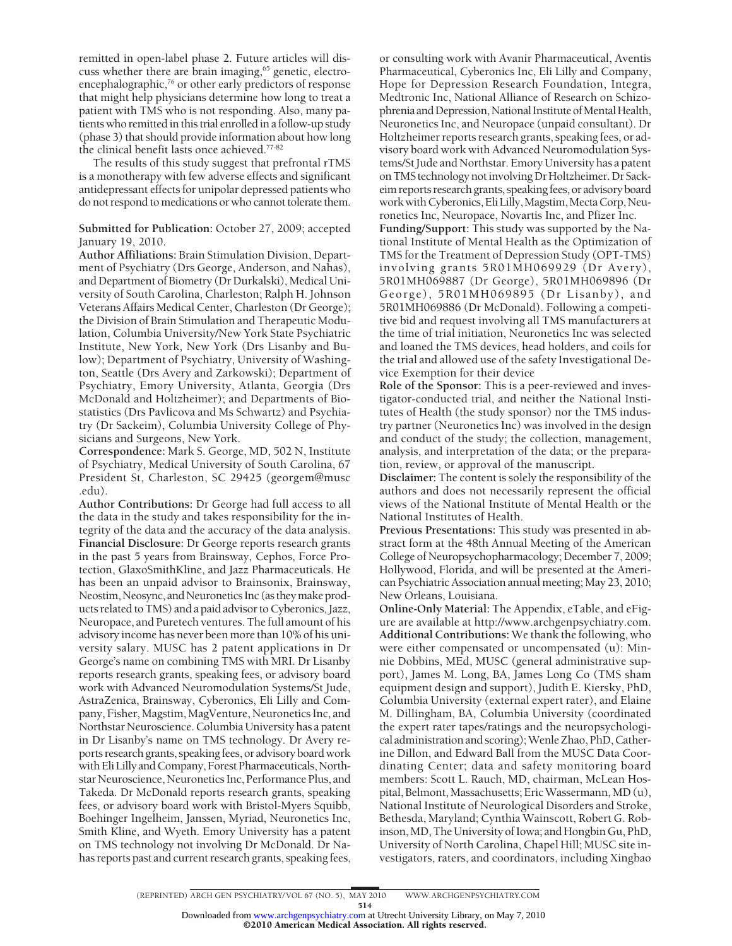remitted in open-label phase 2. Future articles will discuss whether there are brain imaging,<sup>65</sup> genetic, electroencephalographic,<sup>76</sup> or other early predictors of response that might help physicians determine how long to treat a patient with TMS who is not responding. Also, many patients who remitted in this trial enrolled in a follow-up study (phase 3) that should provide information about how long the clinical benefit lasts once achieved.77-82

The results of this study suggest that prefrontal rTMS is a monotherapy with few adverse effects and significant antidepressant effects for unipolar depressed patients who do not respond to medications or who cannot tolerate them.

**Submitted for Publication:** October 27, 2009; accepted January 19, 2010.

**Author Affiliations:** Brain Stimulation Division, Department of Psychiatry (Drs George, Anderson, and Nahas), and Department of Biometry (Dr Durkalski), Medical University of South Carolina, Charleston; Ralph H. Johnson Veterans Affairs Medical Center, Charleston (Dr George); the Division of Brain Stimulation and Therapeutic Modulation, Columbia University/New York State Psychiatric Institute, New York, New York (Drs Lisanby and Bulow); Department of Psychiatry, University of Washington, Seattle (Drs Avery and Zarkowski); Department of Psychiatry, Emory University, Atlanta, Georgia (Drs McDonald and Holtzheimer); and Departments of Biostatistics (Drs Pavlicova and Ms Schwartz) and Psychiatry (Dr Sackeim), Columbia University College of Physicians and Surgeons, New York.

**Correspondence:** Mark S. George, MD, 502 N, Institute of Psychiatry, Medical University of South Carolina, 67 President St, Charleston, SC 29425 (georgem@musc .edu).

**Author Contributions:** Dr George had full access to all the data in the study and takes responsibility for the integrity of the data and the accuracy of the data analysis. **Financial Disclosure:** Dr George reports research grants in the past 5 years from Brainsway, Cephos, Force Protection, GlaxoSmithKline, and Jazz Pharmaceuticals. He has been an unpaid advisor to Brainsonix, Brainsway, Neostim, Neosync, and Neuronetics Inc (as they make products related to TMS) and a paid advisor to Cyberonics, Jazz, Neuropace, and Puretech ventures. The full amount of his advisory income has never been more than 10% of his university salary. MUSC has 2 patent applications in Dr George's name on combining TMS with MRI. Dr Lisanby reports research grants, speaking fees, or advisory board work with Advanced Neuromodulation Systems/St Jude, AstraZenica, Brainsway, Cyberonics, Eli Lilly and Company, Fisher, Magstim, MagVenture, Neuronetics Inc, and Northstar Neuroscience. Columbia University has a patent in Dr Lisanby's name on TMS technology. Dr Avery reports research grants, speaking fees, or advisory board work with Eli Lilly and Company, Forest Pharmaceuticals, Northstar Neuroscience, Neuronetics Inc, Performance Plus, and Takeda. Dr McDonald reports research grants, speaking fees, or advisory board work with Bristol-Myers Squibb, Boehinger Ingelheim, Janssen, Myriad, Neuronetics Inc, Smith Kline, and Wyeth. Emory University has a patent on TMS technology not involving Dr McDonald. Dr Nahas reports past and current research grants, speaking fees, or consulting work with Avanir Pharmaceutical, Aventis Pharmaceutical, Cyberonics Inc, Eli Lilly and Company, Hope for Depression Research Foundation, Integra, Medtronic Inc, National Alliance of Research on Schizophrenia and Depression, National Institute of Mental Health, Neuronetics Inc, and Neuropace (unpaid consultant). Dr Holtzheimer reports research grants, speaking fees, or advisory board work with Advanced Neuromodulation Systems/St Jude and Northstar. Emory University has a patent on TMS technology notinvolving Dr Holtzheimer. Dr Sackeim reports research grants, speaking fees, or advisory board work with Cyberonics, Eli Lilly, Magstim, Mecta Corp, Neuronetics Inc, Neuropace, Novartis Inc, and Pfizer Inc.

**Funding/Support:** This study was supported by the National Institute of Mental Health as the Optimization of TMS for the Treatment of Depression Study (OPT-TMS) involving grants 5R01MH069929 (Dr Avery), 5R01MH069887 (Dr George), 5R01MH069896 (Dr George), 5R01MH069895 (Dr Lisanby), and 5R01MH069886 (Dr McDonald). Following a competitive bid and request involving all TMS manufacturers at the time of trial initiation, Neuronetics Inc was selected and loaned the TMS devices, head holders, and coils for the trial and allowed use of the safety Investigational Device Exemption for their device

**Role of the Sponsor:** This is a peer-reviewed and investigator-conducted trial, and neither the National Institutes of Health (the study sponsor) nor the TMS industry partner (Neuronetics Inc) was involved in the design and conduct of the study; the collection, management, analysis, and interpretation of the data; or the preparation, review, or approval of the manuscript.

**Disclaimer:** The content is solely the responsibility of the authors and does not necessarily represent the official views of the National Institute of Mental Health or the National Institutes of Health.

**Previous Presentations:** This study was presented in abstract form at the 48th Annual Meeting of the American College of Neuropsychopharmacology; December 7, 2009; Hollywood, Florida, and will be presented at the American Psychiatric Association annual meeting; May 23, 2010; New Orleans, Louisiana.

**Online-Only Material:** The Appendix, eTable, and eFigure are available at http://www.archgenpsychiatry.com. **Additional Contributions:** We thank the following, who were either compensated or uncompensated (u): Minnie Dobbins, MEd, MUSC (general administrative support), James M. Long, BA, James Long Co (TMS sham equipment design and support), Judith E. Kiersky, PhD, Columbia University (external expert rater), and Elaine M. Dillingham, BA, Columbia University (coordinated the expert rater tapes/ratings and the neuropsychological administration and scoring);Wenle Zhao, PhD,Catherine Dillon, and Edward Ball from the MUSC Data Coordinating Center; data and safety monitoring board members: Scott L. Rauch, MD, chairman, McLean Hospital, Belmont, Massachusetts; EricWassermann, MD (u), National Institute of Neurological Disorders and Stroke, Bethesda, Maryland; Cynthia Wainscott, Robert G. Robinson,MD, The University of Iowa; and Hongbin Gu, PhD, University of North Carolina, Chapel Hill; MUSC site investigators, raters, and coordinators, including Xingbao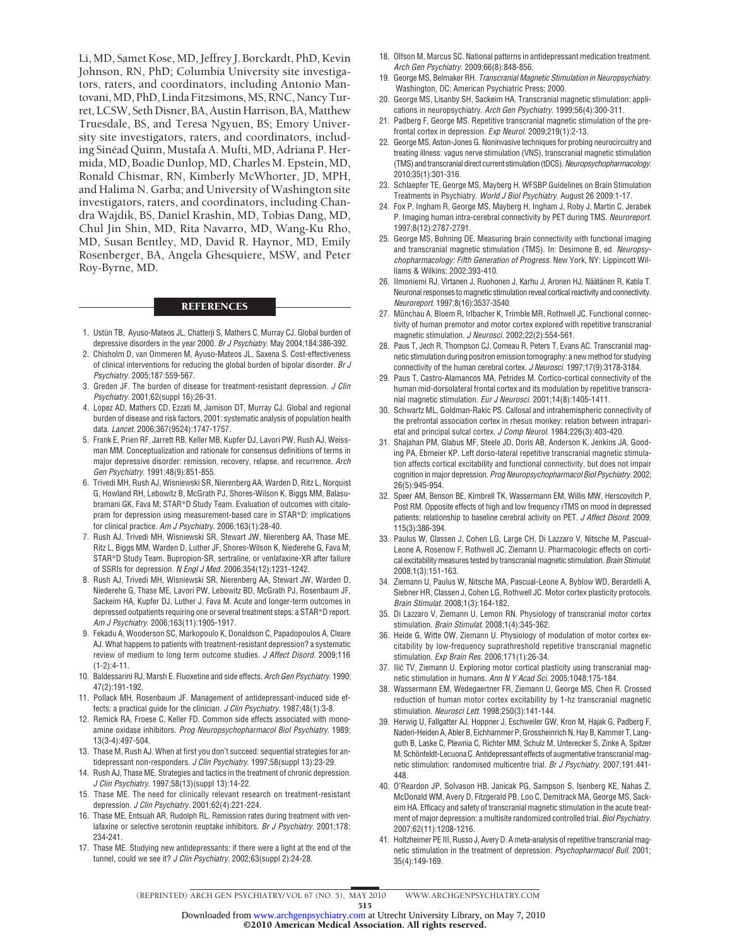Li, MD, Samet Kose, MD, Jeffrey J. Borckardt, PhD, Kevin Johnson, RN, PhD; Columbia University site investigators, raters, and coordinators, including Antonio Mantovani, MD, PhD, Linda Fitzsimons, MS, RNC, Nancy Turret, LCSW, Seth Disner, BA, Austin Harrison, BA, Matthew Truesdale, BS, and Teresa Ngyuen, BS; Emory University site investigators, raters, and coordinators, including Sine´ad Quinn, Mustafa A. Mufti, MD, Adriana P. Hermida, MD, Boadie Dunlop, MD, Charles M. Epstein, MD, Ronald Chismar, RN, Kimberly McWhorter, JD, MPH, and Halima N. Garba; and University of Washington site investigators, raters, and coordinators, including Chandra Wajdik, BS, Daniel Krashin, MD, Tobias Dang, MD, Chul Jin Shin, MD, Rita Navarro, MD, Wang-Ku Rho, MD, Susan Bentley, MD, David R. Haynor, MD, Emily Rosenberger, BA, Angela Ghesquiere, MSW, and Peter Roy-Byrne, MD.

#### **REFERENCES**

- 1. Ustün TB, Ayuso-Mateos JL, Chatterji S, Mathers C, Murray CJ. Global burden of depressive disorders in the year 2000. *Br J Psychiatry*. May 2004;184:386-392.
- 2. Chisholm D, van Ommeren M, Ayuso-Mateos JL, Saxena S. Cost-effectiveness of clinical interventions for reducing the global burden of bipolar disorder. *Br J Psychiatry*. 2005;187:559-567.
- 3. Greden JF. The burden of disease for treatment-resistant depression. *J Clin Psychiatry*. 2001;62(suppl 16):26-31.
- 4. Lopez AD, Mathers CD, Ezzati M, Jamison DT, Murray CJ. Global and regional burden of disease and risk factors, 2001: systematic analysis of population health data. *Lancet*. 2006;367(9524):1747-1757.
- 5. Frank E, Prien RF, Jarrett RB, Keller MB, Kupfer DJ, Lavori PW, Rush AJ, Weissman MM. Conceptualization and rationale for consensus definitions of terms in major depressive disorder: remission, recovery, relapse, and recurrence. *Arch Gen Psychiatry*. 1991;48(9):851-855.
- 6. Trivedi MH, Rush AJ, Wisniewski SR, Nierenberg AA, Warden D, Ritz L, Norquist G, Howland RH, Lebowitz B, McGrath PJ, Shores-Wilson K, Biggs MM, Balasubramani GK, Fava M; STAR\*D Study Team. Evaluation of outcomes with citalopram for depression using measurement-based care in STAR\*D: implications for clinical practice. *Am J Psychiatry*. 2006;163(1):28-40.
- 7. Rush AJ, Trivedi MH, Wisniewski SR, Stewart JW, Nierenberg AA, Thase ME, Ritz L, Biggs MM, Warden D, Luther JF, Shores-Wilson K, Niederehe G, Fava M; STAR\*D Study Team. Bupropion-SR, sertraline, or venlafaxine-XR after failure of SSRIs for depression. *N Engl J Med*. 2006;354(12):1231-1242.
- 8. Rush AJ, Trivedi MH, Wisniewski SR, Nierenberg AA, Stewart JW, Warden D, Niederehe G, Thase ME, Lavori PW, Lebowitz BD, McGrath PJ, Rosenbaum JF, Sackeim HA, Kupfer DJ, Luther J, Fava M. Acute and longer-term outcomes in depressed outpatients requiring one or several treatment steps: a STAR\*D report. *Am J Psychiatry*. 2006;163(11):1905-1917.
- 9. Fekadu A, Wooderson SC, Markopoulo K, Donaldson C, Papadopoulos A, Cleare AJ. What happens to patients with treatment-resistant depression? a systematic review of medium to long term outcome studies. *J Affect Disord*. 2009;116 (1-2):4-11.
- 10. Baldessarini RJ, Marsh E. Fluoxetine and side effects. *Arch Gen Psychiatry*. 1990; 47(2):191-192.
- 11. Pollack MH, Rosenbaum JF. Management of antidepressant-induced side effects: a practical guide for the clinician. *J Clin Psychiatry*. 1987;48(1):3-8.
- 12. Remick RA, Froese C, Keller FD. Common side effects associated with monoamine oxidase inhibitors. *Prog Neuropsychopharmacol Biol Psychiatry*. 1989; 13(3-4):497-504.
- 13. Thase M, Rush AJ. When at first you don't succeed: sequential strategies for antidepressant non-responders. *J Clin Psychiatry*. 1997;58(suppl 13):23-29.
- 14. Rush AJ, Thase ME. Strategies and tactics in the treatment of chronic depression. *J Clin Psychiatry*. 1997;58(13)(suppl 13):14-22.
- 15. Thase ME. The need for clinically relevant research on treatment-resistant depression. *J Clin Psychiatry*. 2001;62(4):221-224.
- 16. Thase ME, Entsuah AR, Rudolph RL. Remission rates during treatment with venlafaxine or selective serotonin reuptake inhibitors. *Br J Psychiatry*. 2001;178: 234-241.
- 17. Thase ME. Studying new antidepressants: if there were a light at the end of the tunnel, could we see it? *J Clin Psychiatry*. 2002;63(suppl 2):24-28.
- 18. Olfson M, Marcus SC. National patterns in antidepressant medication treatment. *Arch Gen Psychiatry*. 2009;66(8):848-856.
- 19. George MS, Belmaker RH. *Transcranial Magnetic Stimulation in Neuropsychiatry.* Washington, DC: American Psychiatric Press; 2000.
- 20. George MS, Lisanby SH, Sackeim HA. Transcranial magnetic stimulation: applications in neuropsychiatry. *Arch Gen Psychiatry*. 1999;56(4):300-311.
- 21. Padberg F, George MS. Repetitive transcranial magnetic stimulation of the prefrontal cortex in depression. *Exp Neurol*. 2009;219(1):2-13.
- 22. George MS, Aston-Jones G. Noninvasive techniques for probing neurocircuitry and treating illness: vagus nerve stimulation (VNS), transcranial magnetic stimulation (TMS) and transcranial direct current stimulation (tDCS).*Neuropsychopharmacology*. 2010;35(1):301-316.
- 23. Schlaepfer TE, George MS, Mayberg H. WFSBP Guidelines on Brain Stimulation Treatments in Psychiatry. *World J Biol Psychiatry*. August 26 2009:1-17.
- 24. Fox P, Ingham R, George MS, Mayberg H, Ingham J, Roby J, Martin C, Jerabek P. Imaging human intra-cerebral connectivity by PET during TMS. *Neuroreport*. 1997;8(12):2787-2791.
- 25. George MS, Bohning DE. Measuring brain connectivity with functional imaging and transcranial magnetic stimulation (TMS). In: Desimone B, ed. *Neuropsychopharmacology: Fifth Generation of Progress.* New York, NY: Lippincott Williams & Wilkins; 2002:393-410.
- 26. Ilmoniemi RJ, Virtanen J, Ruohonen J, Karhu J, Aronen HJ, Näätänen R, Katila T. Neuronal responses to magnetic stimulation reveal cortical reactivity and connectivity. *Neuroreport*. 1997;8(16):3537-3540.
- 27. Münchau A, Bloem R, Irlbacher K, Trimble MR, Rothwell JC. Functional connectivity of human premotor and motor cortex explored with repetitive transcranial magnetic stimulation. *J Neurosci*. 2002;22(2):554-561.
- 28. Paus T, Jech R, Thompson CJ, Comeau R, Peters T, Evans AC. Transcranial magnetic stimulation during positron emission tomography: a new method for studying connectivity of the human cerebral cortex. *J Neurosci*. 1997;17(9):3178-3184.
- 29. Paus T, Castro-Alamancos MA, Petrides M. Cortico-cortical connectivity of the human mid-dorsolateral frontal cortex and its modulation by repetitive transcranial magnetic stimulation. *Eur J Neurosci*. 2001;14(8):1405-1411.
- 30. Schwartz ML, Goldman-Rakic PS. Callosal and intrahemispheric connectivity of the prefrontal association cortex in rhesus monkey: relation between intraparietal and principal sulcal cortex. *J Comp Neurol*. 1984;226(3):403-420.
- 31. Shajahan PM, Glabus MF, Steele JD, Doris AB, Anderson K, Jenkins JA, Gooding PA, Ebmeier KP. Left dorso-lateral repetitive transcranial magnetic stimulation affects cortical excitability and functional connectivity, but does not impair cognition in major depression. *Prog Neuropsychopharmacol Biol Psychiatry*. 2002; 26(5):945-954.
- 32. Speer AM, Benson BE, Kimbrell TK, Wassermann EM, Willis MW, Herscovitch P, Post RM. Opposite effects of high and low frequency rTMS on mood in depressed patients: relationship to baseline cerebral activity on PET. *J Affect Disord*. 2009; 115(3):386-394.
- 33. Paulus W, Classen J, Cohen LG, Large CH, Di Lazzaro V, Nitsche M, Pascual-Leone A, Rosenow F, Rothwell JC, Ziemann U. Pharmacologic effects on cortical excitability measures tested by transcranial magnetic stimulation. *Brain Stimulat*. 2008;1(3):151-163.
- 34. Ziemann U, Paulus W, Nitsche MA, Pascual-Leone A, Byblow WD, Berardelli A, Siebner HR, Classen J, Cohen LG, Rothwell JC. Motor cortex plasticity protocols. *Brain Stimulat*. 2008;1(3):164-182.
- 35. Di Lazzaro V, Ziemann U, Lemon RN. Physiology of transcranial motor cortex stimulation. *Brain Stimulat*. 2008;1(4):345-362.
- 36. Heide G, Witte OW, Ziemann U. Physiology of modulation of motor cortex excitability by low-frequency suprathreshold repetitive transcranial magnetic stimulation. *Exp Brain Res*. 2006;171(1):26-34.
- 37. Ilić TV, Ziemann U. Exploring motor cortical plasticity using transcranial magnetic stimulation in humans. *Ann N Y Acad Sci*. 2005;1048:175-184.
- 38. Wassermann EM, Wedegaertner FR, Ziemann U, George MS, Chen R. Crossed reduction of human motor cortex excitability by 1-hz transcranial magnetic stimulation. *Neurosci Lett*. 1998;250(3):141-144.
- 39. Herwig U, Fallgatter AJ, Hoppner J, Eschweiler GW, Kron M, Hajak G, Padberg F, Naderi-Heiden A, Abler B, Eichhammer P, Grossheinrich N, Hay B, Kammer T, Langguth B, Laske C, Plewnia C, Richter MM, Schulz M, Unterecker S, Zinke A, Spitzer M, Schönfeldt-Lecuona C. Antidepressant effects of augmentative transcranial magnetic stimulation: randomised multicentre trial. *Br J Psychiatry*. 2007;191:441- 448.
- 40. O'Reardon JP, Solvason HB, Janicak PG, Sampson S, Isenberg KE, Nahas Z, McDonald WM, Avery D, Fitzgerald PB, Loo C, Demitrack MA, George MS, Sackeim HA. Efficacy and safety of transcranial magnetic stimulation in the acute treatment of major depression: a multisite randomized controlled trial. *Biol Psychiatry*. 2007;62(11):1208-1216.
- 41. Holtzheimer PE III, Russo J, Avery D. A meta-analysis of repetitive transcranial magnetic stimulation in the treatment of depression. *Psychopharmacol Bull*. 2001; 35(4):149-169.

(REPRINTED) ARCH GEN PSYCHIATRY/ VOL 67 (NO. 5), MAY 2010 WWW.ARCHGENPSYCHIATRY.COM

515